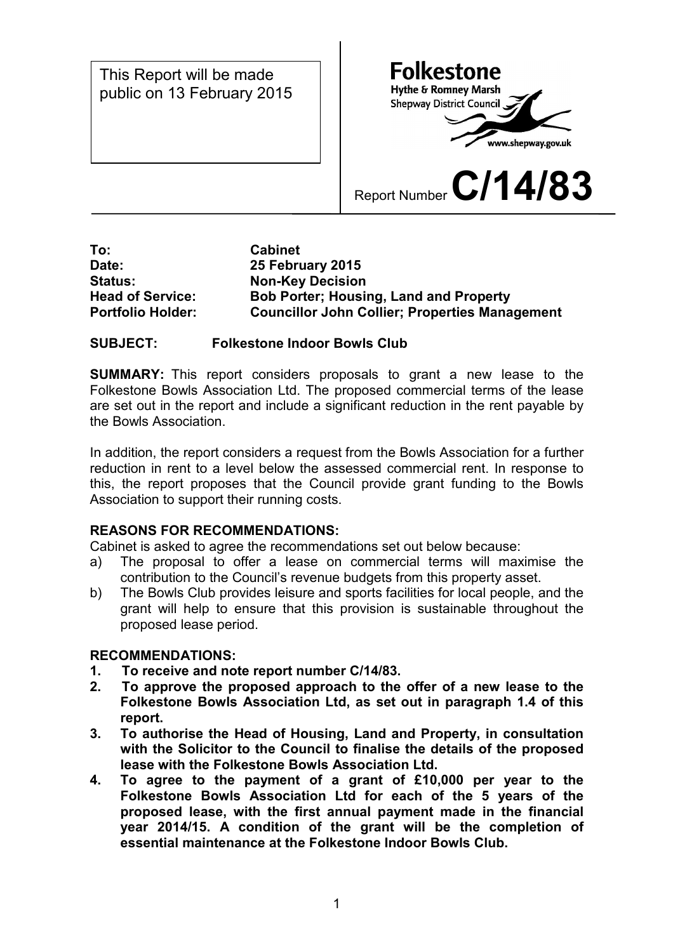public on 13 February 2015This Report will be made

 $\mathsf{I}$ 

**Folkestone Hythe & Romney Marsh** Shepway District Council www.shepway.gov.uk

Report Number **C/14/83**

#### **To: Cabinet Date: 25 February 2015 Status: Non-Key Decision Head of Service: Bob Porter; Housing, Land and Property Portfolio Holder: Councillor John Collier; Properties Management**

### **SUBJECT: Folkestone Indoor Bowls Club**

**SUMMARY:** This report considers proposals to grant a new lease to the Folkestone Bowls Association Ltd. The proposed commercial terms of the lease are set out in the report and include a significant reduction in the rent payable by the Bowls Association.

In addition, the report considers a request from the Bowls Association for a further reduction in rent to a level below the assessed commercial rent. In response to this, the report proposes that the Council provide grant funding to the Bowls Association to support their running costs.

### **REASONS FOR RECOMMENDATIONS:**

Cabinet is asked to agree the recommendations set out below because:

- a) The proposal to offer a lease on commercial terms will maximise the contribution to the Council's revenue budgets from this property asset.
- b) The Bowls Club provides leisure and sports facilities for local people, and the grant will help to ensure that this provision is sustainable throughout the proposed lease period.

### **RECOMMENDATIONS:**

- **1. To receive and note report number C/14/83.**
- **2. To approve the proposed approach to the offer of a new lease to the Folkestone Bowls Association Ltd, as set out in paragraph 1.4 of this report.**
- **3. To authorise the Head of Housing, Land and Property, in consultation with the Solicitor to the Council to finalise the details of the proposed lease with the Folkestone Bowls Association Ltd.**
- **4. To agree to the payment of a grant of £10,000 per year to the Folkestone Bowls Association Ltd for each of the 5 years of the proposed lease, with the first annual payment made in the financial year 2014/15. A condition of the grant will be the completion of essential maintenance at the Folkestone Indoor Bowls Club.**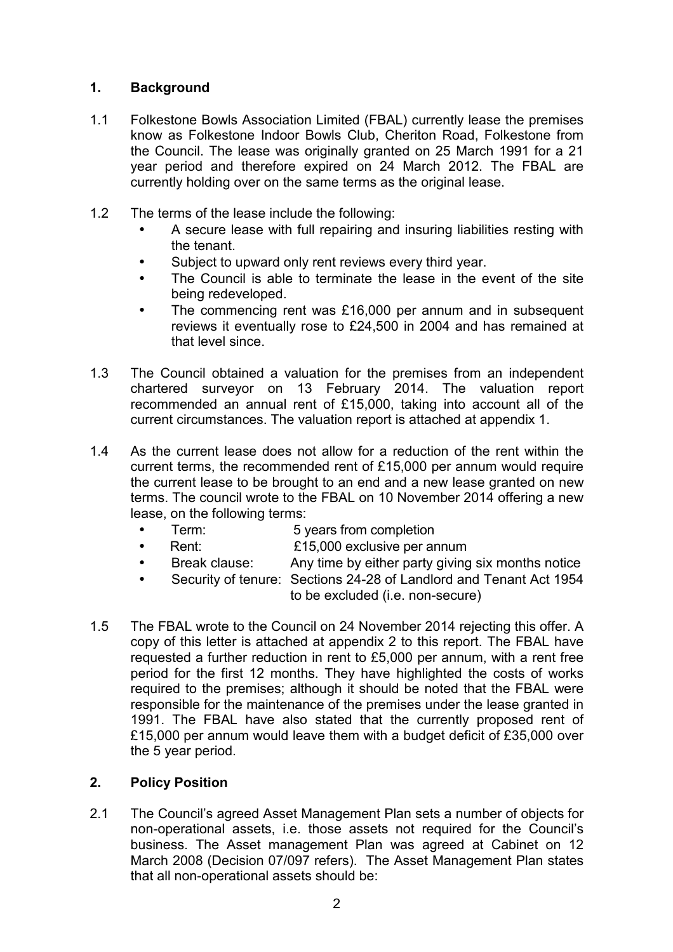## **1. Background**

- 1.1 Folkestone Bowls Association Limited (FBAL) currently lease the premises know as Folkestone Indoor Bowls Club, Cheriton Road, Folkestone from the Council. The lease was originally granted on 25 March 1991 for a 21 year period and therefore expired on 24 March 2012. The FBAL are currently holding over on the same terms as the original lease.
- 1.2 The terms of the lease include the following:
	- A secure lease with full repairing and insuring liabilities resting with the tenant.
	- Subject to upward only rent reviews every third year.
	- The Council is able to terminate the lease in the event of the site being redeveloped.
	- The commencing rent was £16,000 per annum and in subsequent reviews it eventually rose to £24,500 in 2004 and has remained at that level since.
- 1.3 The Council obtained a valuation for the premises from an independent chartered surveyor on 13 February 2014. The valuation report recommended an annual rent of £15,000, taking into account all of the current circumstances. The valuation report is attached at appendix 1.
- 1.4 As the current lease does not allow for a reduction of the rent within the current terms, the recommended rent of £15,000 per annum would require the current lease to be brought to an end and a new lease granted on new terms. The council wrote to the FBAL on 10 November 2014 offering a new lease, on the following terms:
	- Term: 5 years from completion
	- Rent: £15,000 exclusive per annum
	- Break clause: Any time by either party giving six months notice
	- Security of tenure: Sections 24-28 of Landlord and Tenant Act 1954 to be excluded (i.e. non-secure)
- 1.5 The FBAL wrote to the Council on 24 November 2014 rejecting this offer. A copy of this letter is attached at appendix 2 to this report. The FBAL have requested a further reduction in rent to £5,000 per annum, with a rent free period for the first 12 months. They have highlighted the costs of works required to the premises; although it should be noted that the FBAL were responsible for the maintenance of the premises under the lease granted in 1991. The FBAL have also stated that the currently proposed rent of £15,000 per annum would leave them with a budget deficit of £35,000 over the 5 year period.

# **2. Policy Position**

2.1 The Council's agreed Asset Management Plan sets a number of objects for non-operational assets, i.e. those assets not required for the Council's business. The Asset management Plan was agreed at Cabinet on 12 March 2008 (Decision 07/097 refers). The Asset Management Plan states that all non-operational assets should be: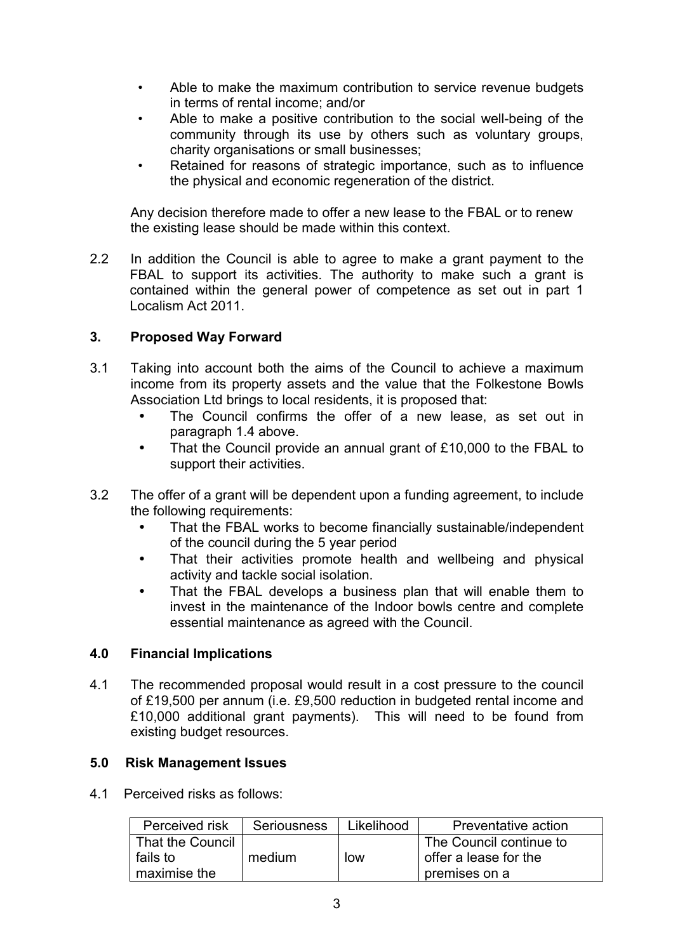- Able to make the maximum contribution to service revenue budgets in terms of rental income; and/or
- Able to make a positive contribution to the social well-being of the community through its use by others such as voluntary groups, charity organisations or small businesses;
- Retained for reasons of strategic importance, such as to influence the physical and economic regeneration of the district.

Any decision therefore made to offer a new lease to the FBAL or to renew the existing lease should be made within this context.

2.2 In addition the Council is able to agree to make a grant payment to the FBAL to support its activities. The authority to make such a grant is contained within the general power of competence as set out in part 1 Localism Act 2011.

### **3. Proposed Way Forward**

- 3.1 Taking into account both the aims of the Council to achieve a maximum income from its property assets and the value that the Folkestone Bowls Association Ltd brings to local residents, it is proposed that:
	- The Council confirms the offer of a new lease, as set out in paragraph 1.4 above.
	- That the Council provide an annual grant of £10,000 to the FBAL to support their activities.
- 3.2 The offer of a grant will be dependent upon a funding agreement, to include the following requirements:
	- That the FBAL works to become financially sustainable/independent of the council during the 5 year period
	- That their activities promote health and wellbeing and physical activity and tackle social isolation.
	- That the FBAL develops a business plan that will enable them to invest in the maintenance of the Indoor bowls centre and complete essential maintenance as agreed with the Council.

### **4.0 Financial Implications**

4.1 The recommended proposal would result in a cost pressure to the council of £19,500 per annum (i.e. £9,500 reduction in budgeted rental income and £10,000 additional grant payments). This will need to be found from existing budget resources.

### **5.0 Risk Management Issues**

4.1 Perceived risks as follows:

| Perceived risk   | <b>Seriousness</b> | Likelihood | Preventative action     |
|------------------|--------------------|------------|-------------------------|
| That the Council |                    |            | The Council continue to |
| fails to         | medium             | low        | offer a lease for the   |
| maximise the     |                    |            | premises on a           |